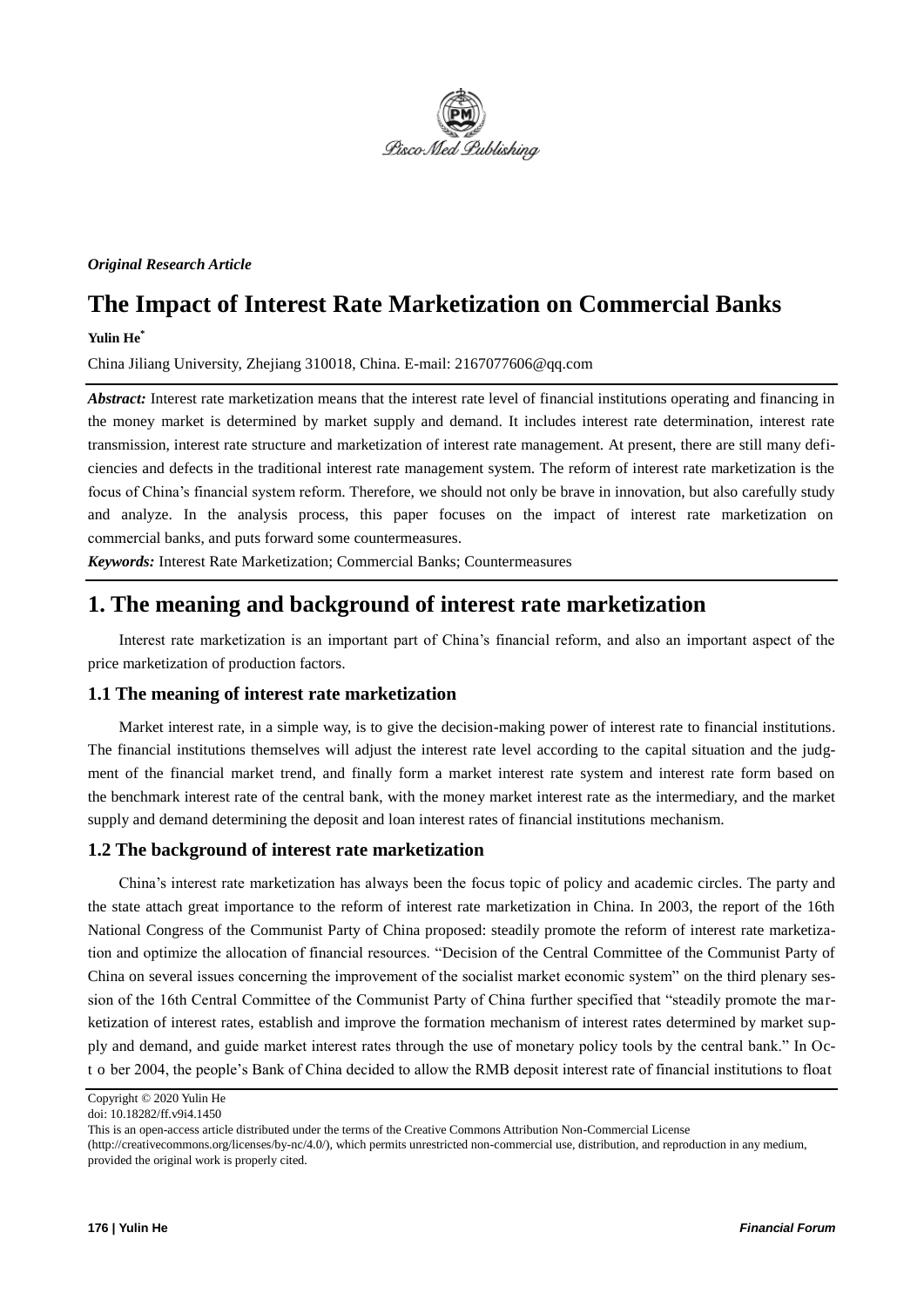

*Original Research Article*

# **The Impact of Interest Rate Marketization on Commercial Banks**

#### **Yulin He\***

China Jiliang University, Zhejiang 310018, China. E-mail: 2167077606@qq.com

*Abstract:* Interest rate marketization means that the interest rate level of financial institutions operating and financing in the money market is determined by market supply and demand. It includes interest rate determination, interest rate transmission, interest rate structure and marketization of interest rate management. At present, there are still many deficiencies and defects in the traditional interest rate management system. The reform of interest rate marketization is the focus of China's financial system reform. Therefore, we should not only be brave in innovation, but also carefully study and analyze. In the analysis process, this paper focuses on the impact of interest rate marketization on commercial banks, and puts forward some countermeasures.

*Keywords:* Interest Rate Marketization; Commercial Banks; Countermeasures

## **1. The meaning and background of interest rate marketization**

Interest rate marketization is an important part of China's financial reform, and also an important aspect of the price marketization of production factors.

### **1.1 The meaning of interest rate marketization**

Market interest rate, in a simple way, is to give the decision-making power of interest rate to financial institutions. The financial institutions themselves will adjust the interest rate level according to the capital situation and the judgment of the financial market trend, and finally form a market interest rate system and interest rate form based on the benchmark interest rate of the central bank, with the money market interest rate as the intermediary, and the market supply and demand determining the deposit and loan interest rates of financial institutions mechanism.

#### **1.2 The background of interest rate marketization**

China's interest rate marketization has always been the focus topic of policy and academic circles. The party and the state attach great importance to the reform of interest rate marketization in China. In 2003, the report of the 16th National Congress of the Communist Party of China proposed: steadily promote the reform of interest rate marketization and optimize the allocation of financial resources. "Decision of the Central Committee of the Communist Party of China on several issues concerning the improvement of the socialist market economic system" on the third plenary session of the 16th Central Committee of the Communist Party of China further specified that "steadily promote the marketization of interest rates, establish and improve the formation mechanism of interest rates determined by market supply and demand, and guide market interest rates through the use of monetary policy tools by the central bank." In Oct o ber 2004, the people's Bank of China decided to allow the RMB deposit interest rate of financial institutions to float

Copyright © 2020 Yulin He

doi: 10.18282/ff.v9i4.1450

This is an open-access article distributed under the terms of the Creative Commons Attribution Non-Commercial License

<sup>(</sup>http://creativecommons.org/licenses/by-nc/4.0/), which permits unrestricted non-commercial use, distribution, and reproduction in any medium, provided the original work is properly cited.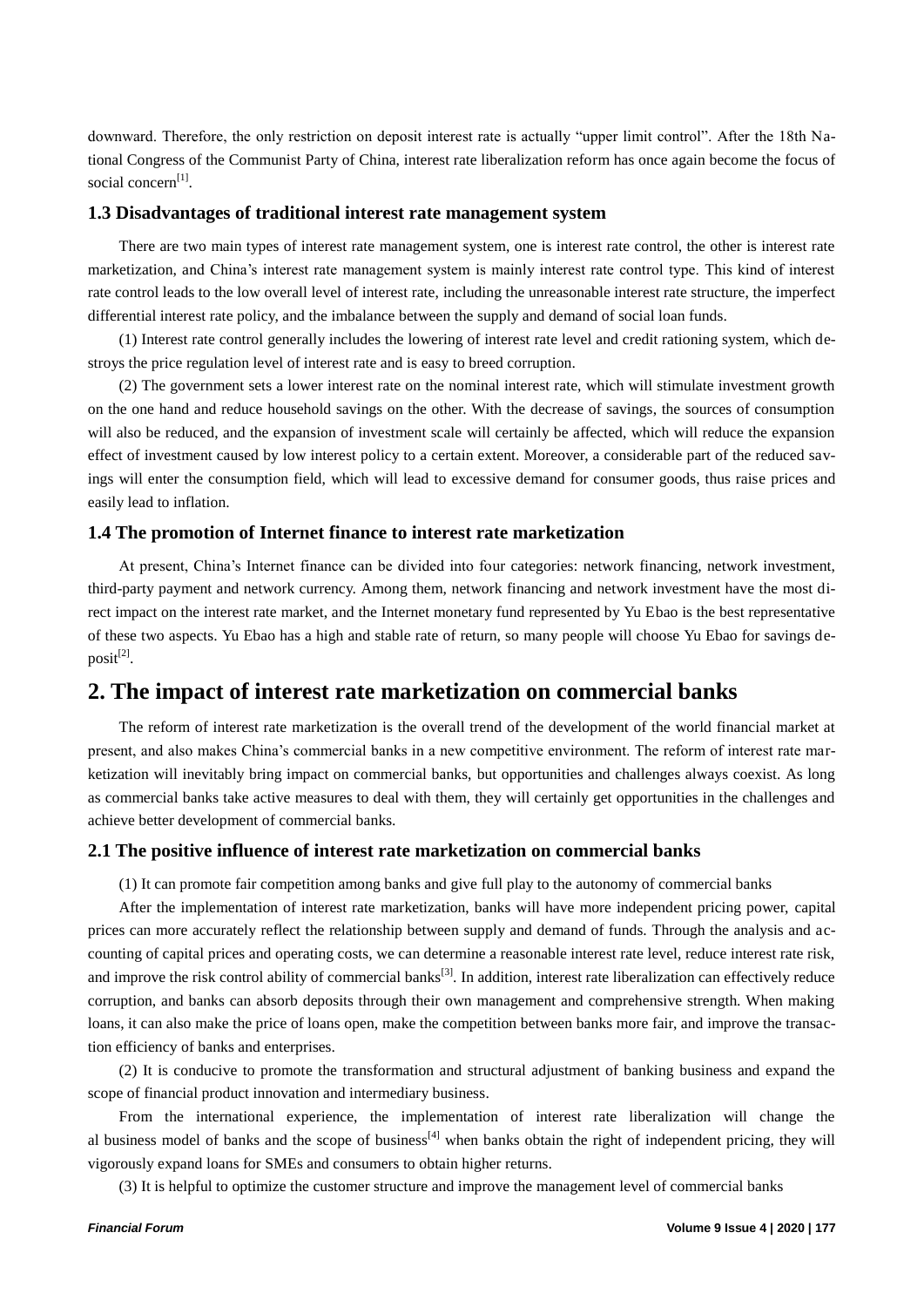downward. Therefore, the only restriction on deposit interest rate is actually "upper limit control". After the 18th National Congress of the Communist Party of China, interest rate liberalization reform has once again become the focus of social concern<sup>[1]</sup>.

#### **1.3 Disadvantages of traditional interest rate management system**

There are two main types of interest rate management system, one is interest rate control, the other is interest rate marketization, and China's interest rate management system is mainly interest rate control type. This kind of interest rate control leads to the low overall level of interest rate, including the unreasonable interest rate structure, the imperfect differential interest rate policy, and the imbalance between the supply and demand of social loan funds.

(1) Interest rate control generally includes the lowering of interest rate level and credit rationing system, which destroys the price regulation level of interest rate and is easy to breed corruption.

(2) The government sets a lower interest rate on the nominal interest rate, which will stimulate investment growth on the one hand and reduce household savings on the other. With the decrease of savings, the sources of consumption will also be reduced, and the expansion of investment scale will certainly be affected, which will reduce the expansion effect of investment caused by low interest policy to a certain extent. Moreover, a considerable part of the reduced savings will enter the consumption field, which will lead to excessive demand for consumer goods, thus raise prices and easily lead to inflation.

#### **1.4 The promotion of Internet finance to interest rate marketization**

At present, China's Internet finance can be divided into four categories: network financing, network investment, third-party payment and network currency. Among them, network financing and network investment have the most direct impact on the interest rate market, and the Internet monetary fund represented by Yu Ebao is the best representative of these two aspects. Yu Ebao has a high and stable rate of return, so many people will choose Yu Ebao for savings deposit<sup>[2]</sup>.

### **2. The impact of interest rate marketization on commercial banks**

The reform of interest rate marketization is the overall trend of the development of the world financial market at present, and also makes China's commercial banks in a new competitive environment. The reform of interest rate marketization will inevitably bring impact on commercial banks, but opportunities and challenges always coexist. As long as commercial banks take active measures to deal with them, they will certainly get opportunities in the challenges and achieve better development of commercial banks.

#### **2.1 The positive influence of interest rate marketization on commercial banks**

(1) It can promote fair competition among banks and give full play to the autonomy of commercial banks

After the implementation of interest rate marketization, banks will have more independent pricing power, capital prices can more accurately reflect the relationship between supply and demand of funds. Through the analysis and accounting of capital prices and operating costs, we can determine a reasonable interest rate level, reduce interest rate risk, and improve the risk control ability of commercial banks<sup>[3]</sup>. In addition, interest rate liberalization can effectively reduce corruption, and banks can absorb deposits through their own management and comprehensive strength. When making loans, it can also make the price of loans open, make the competition between banks more fair, and improve the transaction efficiency of banks and enterprises.

(2) It is conducive to promote the transformation and structural adjustment of banking business and expand the scope of financial product innovation and intermediary business.

From the international experience, the implementation of interest rate liberalization will change the al business model of banks and the scope of business<sup>[4]</sup> when banks obtain the right of independent pricing, they will vigorously expand loans for SMEs and consumers to obtain higher returns.

(3) It is helpful to optimize the customer structure and improve the management level of commercial banks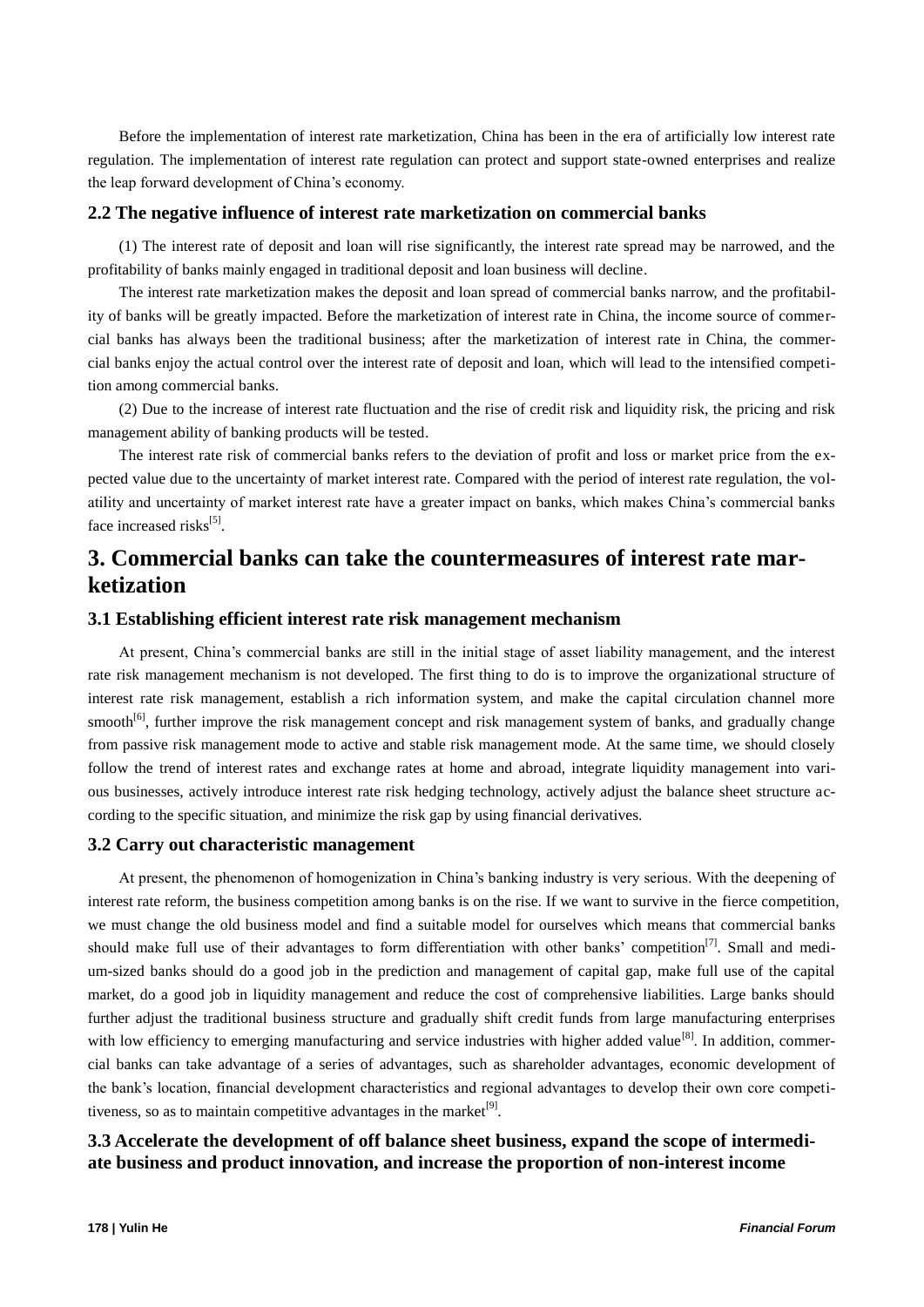Before the implementation of interest rate marketization, China has been in the era of artificially low interest rate regulation. The implementation of interest rate regulation can protect and support state-owned enterprises and realize the leap forward development of China's economy.

#### **2.2 The negative influence of interest rate marketization on commercial banks**

(1) The interest rate of deposit and loan will rise significantly, the interest rate spread may be narrowed, and the profitability of banks mainly engaged in traditional deposit and loan business will decline.

The interest rate marketization makes the deposit and loan spread of commercial banks narrow, and the profitability of banks will be greatly impacted. Before the marketization of interest rate in China, the income source of commercial banks has always been the traditional business; after the marketization of interest rate in China, the commercial banks enjoy the actual control over the interest rate of deposit and loan, which will lead to the intensified competition among commercial banks.

(2) Due to the increase of interest rate fluctuation and the rise of credit risk and liquidity risk, the pricing and risk management ability of banking products will be tested.

The interest rate risk of commercial banks refers to the deviation of profit and loss or market price from the expected value due to the uncertainty of market interest rate. Compared with the period of interest rate regulation, the volatility and uncertainty of market interest rate have a greater impact on banks, which makes China's commercial banks face increased risks<sup>[5]</sup>.

## **3. Commercial banks can take the countermeasures of interest rate marketization**

#### **3.1 Establishing efficient interest rate risk management mechanism**

At present, China's commercial banks are still in the initial stage of asset liability management, and the interest rate risk management mechanism is not developed. The first thing to do is to improve the organizational structure of interest rate risk management, establish a rich information system, and make the capital circulation channel more smooth<sup>[6]</sup>, further improve the risk management concept and risk management system of banks, and gradually change from passive risk management mode to active and stable risk management mode. At the same time, we should closely follow the trend of interest rates and exchange rates at home and abroad, integrate liquidity management into various businesses, actively introduce interest rate risk hedging technology, actively adjust the balance sheet structure according to the specific situation, and minimize the risk gap by using financial derivatives.

#### **3.2 Carry out characteristic management**

At present, the phenomenon of homogenization in China's banking industry is very serious. With the deepening of interest rate reform, the business competition among banks is on the rise. If we want to survive in the fierce competition, we must change the old business model and find a suitable model for ourselves which means that commercial banks should make full use of their advantages to form differentiation with other banks' competition<sup>[7]</sup>. Small and medium-sized banks should do a good job in the prediction and management of capital gap, make full use of the capital market, do a good job in liquidity management and reduce the cost of comprehensive liabilities. Large banks should further adjust the traditional business structure and gradually shift credit funds from large manufacturing enterprises with low efficiency to emerging manufacturing and service industries with higher added value<sup>[8]</sup>. In addition, commercial banks can take advantage of a series of advantages, such as shareholder advantages, economic development of the bank's location, financial development characteristics and regional advantages to develop their own core competitiveness, so as to maintain competitive advantages in the market $[9]$ .

### **3.3 Accelerate the development of off balance sheet business, expand the scope of intermediate business and product innovation, and increase the proportion of non-interest income**